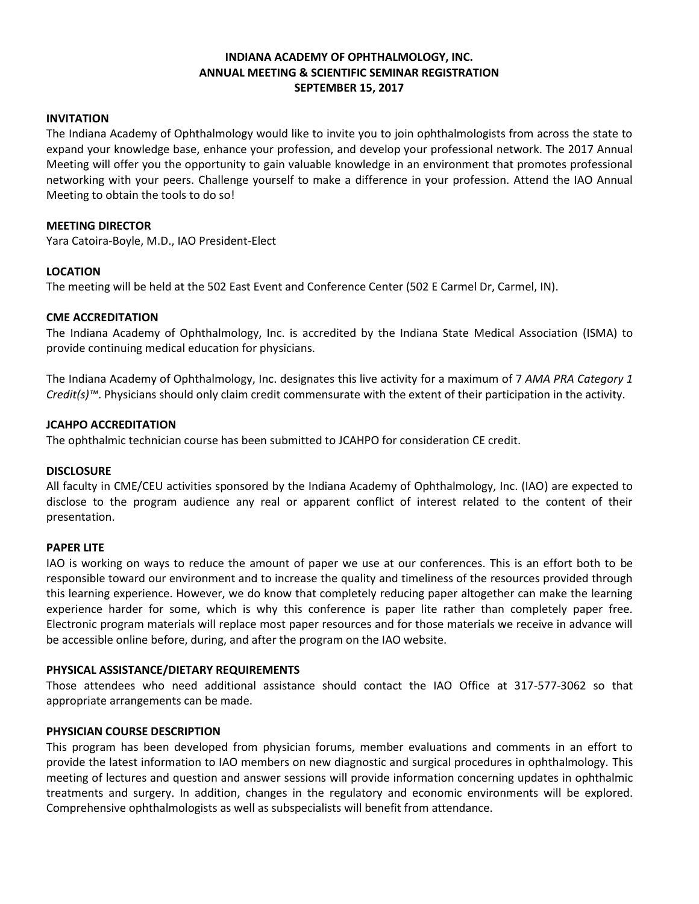## **INDIANA ACADEMY OF OPHTHALMOLOGY, INC. ANNUAL MEETING & SCIENTIFIC SEMINAR REGISTRATION SEPTEMBER 15, 2017**

### **INVITATION**

The Indiana Academy of Ophthalmology would like to invite you to join ophthalmologists from across the state to expand your knowledge base, enhance your profession, and develop your professional network. The 2017 Annual Meeting will offer you the opportunity to gain valuable knowledge in an environment that promotes professional networking with your peers. Challenge yourself to make a difference in your profession. Attend the IAO Annual Meeting to obtain the tools to do so!

### **MEETING DIRECTOR**

Yara Catoira-Boyle, M.D., IAO President-Elect

### **LOCATION**

The meeting will be held at the 502 East Event and Conference Center (502 E Carmel Dr, Carmel, IN).

### **CME ACCREDITATION**

The Indiana Academy of Ophthalmology, Inc. is accredited by the Indiana State Medical Association (ISMA) to provide continuing medical education for physicians.

The Indiana Academy of Ophthalmology, Inc. designates this live activity for a maximum of 7 *AMA PRA Category 1 Credit(s)™*. Physicians should only claim credit commensurate with the extent of their participation in the activity.

### **JCAHPO ACCREDITATION**

The ophthalmic technician course has been submitted to JCAHPO for consideration CE credit.

### **DISCLOSURE**

All faculty in CME/CEU activities sponsored by the Indiana Academy of Ophthalmology, Inc. (IAO) are expected to disclose to the program audience any real or apparent conflict of interest related to the content of their presentation.

### **PAPER LITE**

IAO is working on ways to reduce the amount of paper we use at our conferences. This is an effort both to be responsible toward our environment and to increase the quality and timeliness of the resources provided through this learning experience. However, we do know that completely reducing paper altogether can make the learning experience harder for some, which is why this conference is paper lite rather than completely paper free. Electronic program materials will replace most paper resources and for those materials we receive in advance will be accessible online before, during, and after the program on the IAO website.

## **PHYSICAL ASSISTANCE/DIETARY REQUIREMENTS**

Those attendees who need additional assistance should contact the IAO Office at 317-577-3062 so that appropriate arrangements can be made.

## **PHYSICIAN COURSE DESCRIPTION**

This program has been developed from physician forums, member evaluations and comments in an effort to provide the latest information to IAO members on new diagnostic and surgical procedures in ophthalmology. This meeting of lectures and question and answer sessions will provide information concerning updates in ophthalmic treatments and surgery. In addition, changes in the regulatory and economic environments will be explored. Comprehensive ophthalmologists as well as subspecialists will benefit from attendance.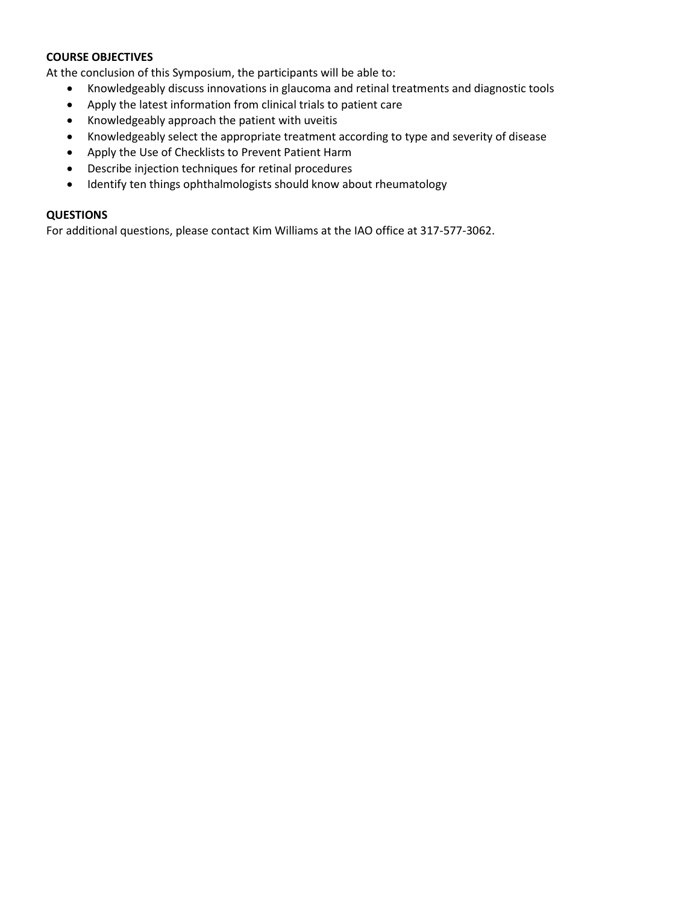## **COURSE OBJECTIVES**

At the conclusion of this Symposium, the participants will be able to:

- Knowledgeably discuss innovations in glaucoma and retinal treatments and diagnostic tools
- Apply the latest information from clinical trials to patient care
- Knowledgeably approach the patient with uveitis
- Knowledgeably select the appropriate treatment according to type and severity of disease
- Apply the Use of Checklists to Prevent Patient Harm
- Describe injection techniques for retinal procedures
- Identify ten things ophthalmologists should know about rheumatology

## **QUESTIONS**

For additional questions, please contact Kim Williams at the IAO office at 317-577-3062.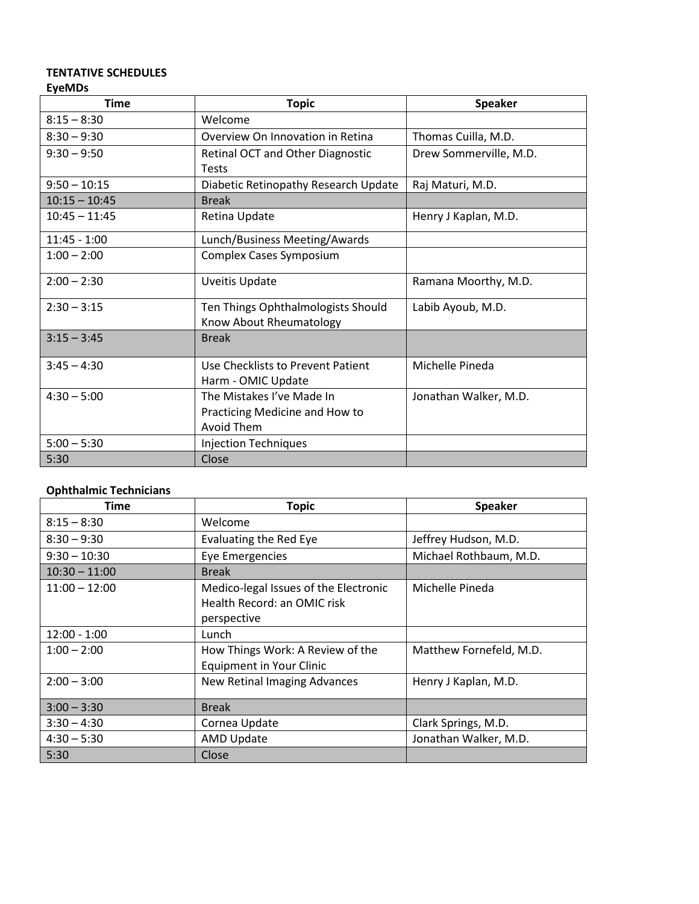## **TENTATIVE SCHEDULES EyeMDs**

| <b>Time</b>     | <b>Topic</b>                         | <b>Speaker</b>         |  |
|-----------------|--------------------------------------|------------------------|--|
| $8:15 - 8:30$   | Welcome                              |                        |  |
| $8:30 - 9:30$   | Overview On Innovation in Retina     | Thomas Cuilla, M.D.    |  |
| $9:30 - 9:50$   | Retinal OCT and Other Diagnostic     | Drew Sommerville, M.D. |  |
|                 | <b>Tests</b>                         |                        |  |
| $9:50 - 10:15$  | Diabetic Retinopathy Research Update | Raj Maturi, M.D.       |  |
| $10:15 - 10:45$ | <b>Break</b>                         |                        |  |
| $10:45 - 11:45$ | Retina Update                        | Henry J Kaplan, M.D.   |  |
| $11:45 - 1:00$  | Lunch/Business Meeting/Awards        |                        |  |
| $1:00 - 2:00$   | Complex Cases Symposium              |                        |  |
| $2:00 - 2:30$   | <b>Uveitis Update</b>                | Ramana Moorthy, M.D.   |  |
| $2:30 - 3:15$   | Ten Things Ophthalmologists Should   | Labib Ayoub, M.D.      |  |
|                 | Know About Rheumatology              |                        |  |
| $3:15 - 3:45$   | <b>Break</b>                         |                        |  |
| $3:45 - 4:30$   | Use Checklists to Prevent Patient    | Michelle Pineda        |  |
|                 | Harm - OMIC Update                   |                        |  |
| $4:30 - 5:00$   | The Mistakes I've Made In            | Jonathan Walker, M.D.  |  |
|                 | Practicing Medicine and How to       |                        |  |
|                 | Avoid Them                           |                        |  |
| $5:00 - 5:30$   | <b>Injection Techniques</b>          |                        |  |
| 5:30            | Close                                |                        |  |

## **Ophthalmic Technicians**

| Time            | <b>Topic</b>                                                                        | <b>Speaker</b>          |  |
|-----------------|-------------------------------------------------------------------------------------|-------------------------|--|
| $8:15 - 8:30$   | Welcome                                                                             |                         |  |
| $8:30 - 9:30$   | Evaluating the Red Eye                                                              | Jeffrey Hudson, M.D.    |  |
| $9:30 - 10:30$  | Eye Emergencies                                                                     | Michael Rothbaum, M.D.  |  |
| $10:30 - 11:00$ | <b>Break</b>                                                                        |                         |  |
| $11:00 - 12:00$ | Medico-legal Issues of the Electronic<br>Health Record: an OMIC risk<br>perspective | Michelle Pineda         |  |
| $12:00 - 1:00$  | Lunch                                                                               |                         |  |
| $1:00 - 2:00$   | How Things Work: A Review of the<br><b>Equipment in Your Clinic</b>                 | Matthew Fornefeld, M.D. |  |
| $2:00 - 3:00$   | New Retinal Imaging Advances                                                        | Henry J Kaplan, M.D.    |  |
| $3:00 - 3:30$   | <b>Break</b>                                                                        |                         |  |
| $3:30 - 4:30$   | Cornea Update                                                                       | Clark Springs, M.D.     |  |
| $4:30 - 5:30$   | <b>AMD Update</b>                                                                   | Jonathan Walker, M.D.   |  |
| 5:30            | Close                                                                               |                         |  |